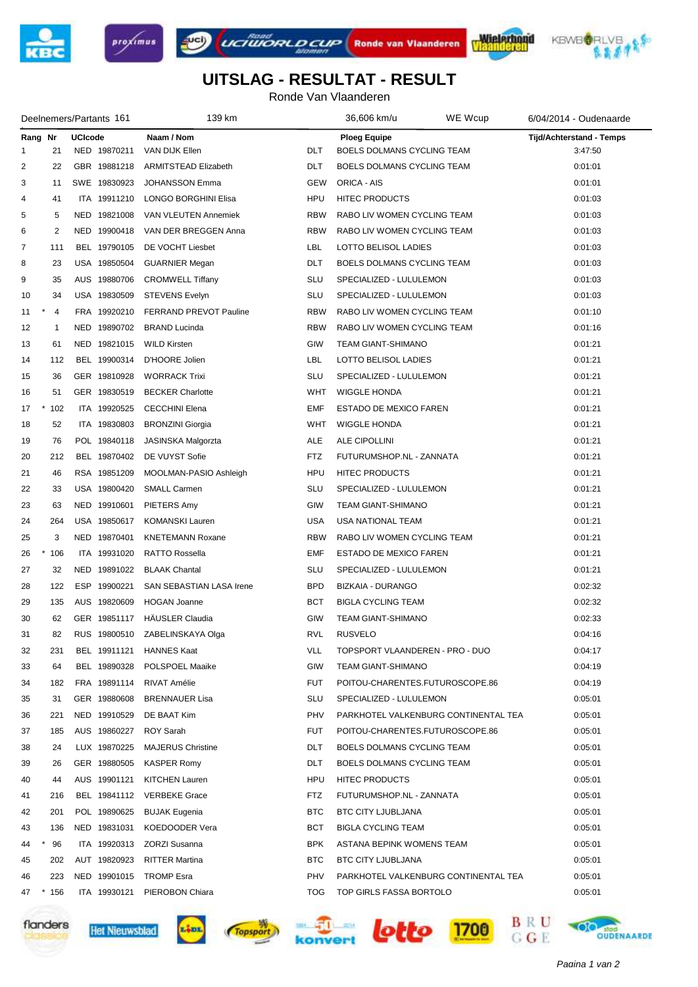



 $\bullet$ 







## **UITSLAG - RESULTAT - RESULT**

Ronde Van Vlaanderen

| Deelnemers/Partants 161 |                           |  | 139 km       |                             | 36,606 km/u | WE Wcup                              | 6/04/2014 - Oudenaarde |                                 |
|-------------------------|---------------------------|--|--------------|-----------------------------|-------------|--------------------------------------|------------------------|---------------------------------|
|                         | Rang Nr<br><b>UCIcode</b> |  |              | Naam / Nom                  |             | <b>Ploeg Equipe</b>                  |                        | <b>Tijd/Achterstand - Temps</b> |
| 1                       | 21                        |  | NED 19870211 | VAN DIJK Ellen              | DLT         | BOELS DOLMANS CYCLING TEAM           |                        | 3:47:50                         |
| 2                       | 22                        |  | GBR 19881218 | <b>ARMITSTEAD Elizabeth</b> | DLT         | BOELS DOLMANS CYCLING TEAM           |                        | 0:01:01                         |
| 3                       | 11                        |  | SWE 19830923 | <b>JOHANSSON Emma</b>       | GEW         | ORICA - AIS                          |                        | 0:01:01                         |
| 4                       | 41                        |  | ITA 19911210 | LONGO BORGHINI Elisa        | <b>HPU</b>  | <b>HITEC PRODUCTS</b>                |                        | 0:01:03                         |
| 5                       | 5                         |  | NED 19821008 | VAN VLEUTEN Annemiek        | <b>RBW</b>  | RABO LIV WOMEN CYCLING TEAM          |                        | 0:01:03                         |
| 6                       | $\overline{2}$            |  | NED 19900418 | VAN DER BREGGEN Anna        | <b>RBW</b>  | RABO LIV WOMEN CYCLING TEAM          |                        | 0:01:03                         |
| 7                       | 111                       |  | BEL 19790105 | DE VOCHT Liesbet            | LBL         | LOTTO BELISOL LADIES                 |                        | 0:01:03                         |
| 8                       | 23                        |  | USA 19850504 | <b>GUARNIER Megan</b>       | DLT         | BOELS DOLMANS CYCLING TEAM           |                        | 0:01:03                         |
| 9                       | 35                        |  | AUS 19880706 | <b>CROMWELL Tiffany</b>     | SLU         | SPECIALIZED - LULULEMON              |                        | 0:01:03                         |
| 10                      | 34                        |  | USA 19830509 | <b>STEVENS Evelyn</b>       | SLU         | SPECIALIZED - LULULEMON              |                        | 0:01:03                         |
| 11                      | 4                         |  | FRA 19920210 | FERRAND PREVOT Pauline      | <b>RBW</b>  | RABO LIV WOMEN CYCLING TEAM          |                        | 0:01:10                         |
| 12                      | $\mathbf{1}$              |  | NED 19890702 | <b>BRAND Lucinda</b>        | <b>RBW</b>  | RABO LIV WOMEN CYCLING TEAM          |                        | 0:01:16                         |
| 13                      | 61                        |  | NED 19821015 | <b>WILD Kirsten</b>         | GIW         | <b>TEAM GIANT-SHIMANO</b>            |                        | 0:01:21                         |
| 14                      | 112                       |  | BEL 19900314 | D'HOORE Jolien              | LBL         | LOTTO BELISOL LADIES                 |                        | 0:01:21                         |
| 15                      | 36                        |  | GER 19810928 | <b>WORRACK Trixi</b>        | SLU         | SPECIALIZED - LULULEMON              |                        | 0:01:21                         |
| 16                      | 51                        |  | GER 19830519 | <b>BECKER Charlotte</b>     | WHT         | <b>WIGGLE HONDA</b>                  |                        | 0:01:21                         |
| 17                      | *<br>102                  |  | ITA 19920525 | <b>CECCHINI Elena</b>       | EMF         | ESTADO DE MEXICO FAREN               |                        | 0:01:21                         |
| 18                      | 52                        |  | ITA 19830803 | <b>BRONZINI Giorgia</b>     | <b>WHT</b>  | <b>WIGGLE HONDA</b>                  |                        | 0:01:21                         |
| 19                      | 76                        |  | POL 19840118 | JASINSKA Malgorzta          | ALE         | ALE CIPOLLINI                        |                        | 0:01:21                         |
| 20                      | 212                       |  | BEL 19870402 | DE VUYST Sofie              | FTZ         | FUTURUMSHOP.NL - ZANNATA             |                        | 0:01:21                         |
| 21                      | 46                        |  | RSA 19851209 | MOOLMAN-PASIO Ashleigh      | <b>HPU</b>  | <b>HITEC PRODUCTS</b>                |                        | 0:01:21                         |
| 22                      | 33                        |  | USA 19800420 | <b>SMALL Carmen</b>         | SLU         | SPECIALIZED - LULULEMON              |                        | 0:01:21                         |
| 23                      | 63                        |  | NED 19910601 | PIETERS Amy                 | GIW         | <b>TEAM GIANT-SHIMANO</b>            |                        | 0:01:21                         |
| 24                      | 264                       |  | USA 19850617 | <b>KOMANSKI Lauren</b>      | <b>USA</b>  | USA NATIONAL TEAM                    |                        | 0:01:21                         |
| 25                      | 3                         |  | NED 19870401 | <b>KNETEMANN Roxane</b>     | <b>RBW</b>  | RABO LIV WOMEN CYCLING TEAM          |                        | 0:01:21                         |
| 26                      | 106                       |  | ITA 19931020 | RATTO Rossella              | EMF         | ESTADO DE MEXICO FAREN               |                        | 0:01:21                         |
| 27                      | 32                        |  | NED 19891022 | <b>BLAAK Chantal</b>        | SLU         | SPECIALIZED - LULULEMON              |                        | 0:01:21                         |
| 28                      | 122                       |  | ESP 19900221 | SAN SEBASTIAN LASA Irene    | <b>BPD</b>  | BIZKAIA - DURANGO                    |                        | 0:02:32                         |
| 29                      | 135                       |  | AUS 19820609 | <b>HOGAN Joanne</b>         | BCT         | <b>BIGLA CYCLING TEAM</b>            |                        | 0:02:32                         |
| 30                      | 62                        |  | GER 19851117 | <b>HAUSLER Claudia</b>      | GIW         | TEAM GIANT-SHIMANO                   |                        | 0:02:33                         |
| 31                      | 82                        |  | RUS 19800510 | ZABELINSKAYA Olga           | <b>RVL</b>  | <b>RUSVELO</b>                       |                        | 0:04:16                         |
| 32                      | 231                       |  | BEL 19911121 | HANNES Kaat                 | VLL         | TOPSPORT VLAANDEREN - PRO - DUO      |                        | 0:04:17                         |
| 33                      | 64                        |  | BEL 19890328 | POLSPOEL Maaike             | GIW         | <b>TEAM GIANT-SHIMANO</b>            |                        | 0:04:19                         |
| 34                      | 182                       |  | FRA 19891114 | RIVAT Amélie                | <b>FUT</b>  | POITOU-CHARENTES.FUTUROSCOPE.86      |                        | 0:04:19                         |
| 35                      | 31                        |  | GER 19880608 | <b>BRENNAUER Lisa</b>       | SLU         | SPECIALIZED - LULULEMON              |                        | 0:05:01                         |
| 36                      | 221                       |  | NED 19910529 | DE BAAT Kim                 | PHV         | PARKHOTEL VALKENBURG CONTINENTAL TEA |                        | 0:05:01                         |
| 37                      | 185                       |  | AUS 19860227 | <b>ROY Sarah</b>            | <b>FUT</b>  | POITOU-CHARENTES.FUTUROSCOPE.86      |                        | 0:05:01                         |
| 38                      | 24                        |  | LUX 19870225 | <b>MAJERUS Christine</b>    | DLT         | BOELS DOLMANS CYCLING TEAM           |                        | 0:05:01                         |
| 39                      | 26                        |  | GER 19880505 | <b>KASPER Romy</b>          | DLT         | BOELS DOLMANS CYCLING TEAM           |                        | 0:05:01                         |
| 40                      | 44                        |  | AUS 19901121 | KITCHEN Lauren              | HPU         | <b>HITEC PRODUCTS</b>                |                        | 0:05:01                         |
| 41                      | 216                       |  | BEL 19841112 | <b>VERBEKE Grace</b>        | FTZ         | FUTURUMSHOP.NL - ZANNATA             |                        | 0:05:01                         |
| 42                      | 201                       |  | POL 19890625 | <b>BUJAK Eugenia</b>        | BTC         | BTC CITY LJUBLJANA                   |                        | 0:05:01                         |
| 43                      | 136                       |  | NED 19831031 | KOEDOODER Vera              | <b>BCT</b>  | <b>BIGLA CYCLING TEAM</b>            |                        | 0:05:01                         |
| 44                      | 96                        |  | ITA 19920313 | <b>ZORZI Susanna</b>        | <b>BPK</b>  | ASTANA BEPINK WOMENS TEAM            |                        | 0:05:01                         |
| 45                      | 202                       |  | AUT 19820923 | <b>RITTER Martina</b>       | BTC         | BTC CITY LJUBLJANA                   |                        | 0:05:01                         |
| 46                      | 223                       |  | NED 19901015 | <b>TROMP Esra</b>           | PHV         | PARKHOTEL VALKENBURG CONTINENTAL TEA |                        | 0:05:01                         |
| 47                      | $*156$                    |  | ITA 19930121 | PIEROBON Chiara             | <b>TOG</b>  | TOP GIRLS FASSA BORTOLO              |                        | 0:05:01                         |
|                         |                           |  |              |                             |             |                                      |                        |                                 |











ina<br>14

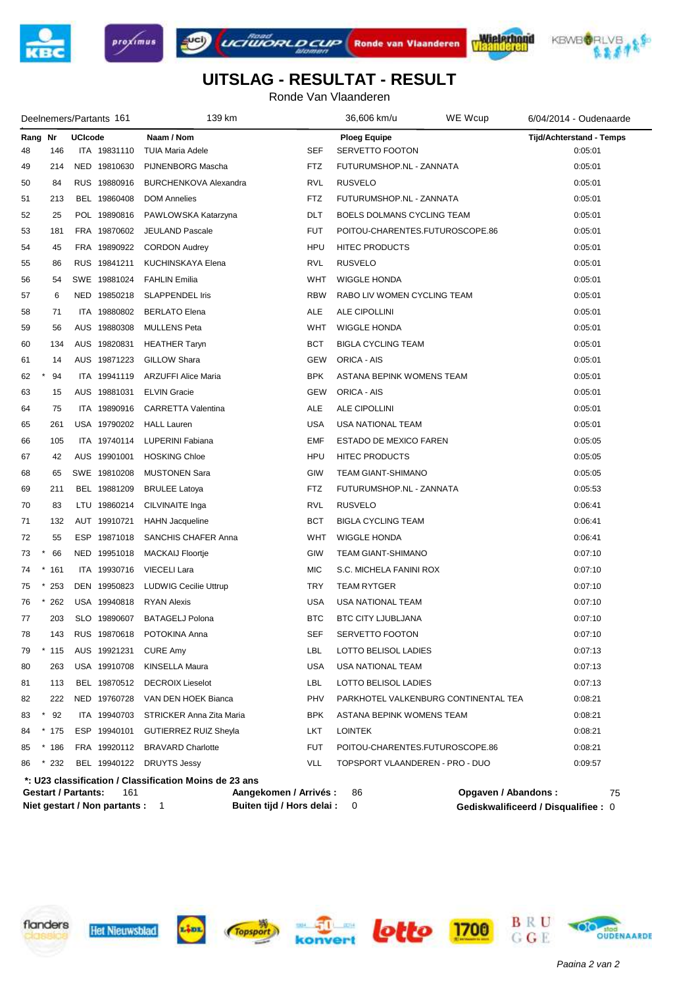



Ð







## **UITSLAG - RESULTAT - RESULT**

Ronde Van Vlaanderen

| Deelnemers/Partants 161       |        |                            | 139 km       |                                                        | 36,606 km/u                     | WE Wcup                              | 6/04/2014 - Oudenaarde |                                      |  |  |
|-------------------------------|--------|----------------------------|--------------|--------------------------------------------------------|---------------------------------|--------------------------------------|------------------------|--------------------------------------|--|--|
| Rang                          | Nr     | <b>UCIcode</b>             |              | Naam / Nom                                             |                                 | <b>Ploeg Equipe</b>                  |                        | <b>Tijd/Achterstand - Temps</b>      |  |  |
| 48                            | 146    |                            | ITA 19831110 | <b>TUIA Maria Adele</b>                                | SEF                             | SERVETTO FOOTON                      |                        | 0:05:01                              |  |  |
| 49                            | 214    |                            | NED 19810630 | PIJNENBORG Mascha                                      | <b>FTZ</b>                      | FUTURUMSHOP.NL - ZANNATA             |                        | 0:05:01                              |  |  |
| 50                            | 84     |                            | RUS 19880916 | <b>BURCHENKOVA Alexandra</b>                           | RVL                             | <b>RUSVELO</b>                       |                        | 0:05:01                              |  |  |
| 51                            | 213    |                            | BEL 19860408 | <b>DOM Annelies</b>                                    | FTZ                             | FUTURUMSHOP.NL - ZANNATA             |                        | 0:05:01                              |  |  |
| 52                            | 25     |                            | POL 19890816 | PAWLOWSKA Katarzyna                                    | DLT                             | BOELS DOLMANS CYCLING TEAM           |                        | 0:05:01                              |  |  |
| 53                            | 181    |                            | FRA 19870602 | <b>JEULAND Pascale</b>                                 | <b>FUT</b>                      | POITOU-CHARENTES.FUTUROSCOPE.86      |                        | 0:05:01                              |  |  |
| 54                            | 45     |                            | FRA 19890922 | <b>CORDON Audrey</b>                                   | HPU                             | <b>HITEC PRODUCTS</b>                |                        | 0:05:01                              |  |  |
| 55                            | 86     |                            | RUS 19841211 | KUCHINSKAYA Elena                                      | RVL                             | <b>RUSVELO</b>                       |                        | 0:05:01                              |  |  |
| 56                            | 54     |                            | SWE 19881024 | <b>FAHLIN Emilia</b>                                   | WHT                             | <b>WIGGLE HONDA</b>                  |                        | 0:05:01                              |  |  |
| 57                            | 6      |                            | NED 19850218 | <b>SLAPPENDEL Iris</b>                                 | <b>RBW</b>                      | RABO LIV WOMEN CYCLING TEAM          |                        | 0:05:01                              |  |  |
| 58                            | 71     |                            | ITA 19880802 | <b>BERLATO Elena</b>                                   | ALE                             | ALE CIPOLLINI                        |                        | 0:05:01                              |  |  |
| 59                            | 56     |                            | AUS 19880308 | <b>MULLENS Peta</b>                                    | WHT                             | <b>WIGGLE HONDA</b>                  |                        | 0:05:01                              |  |  |
| 60                            | 134    |                            | AUS 19820831 | <b>HEATHER Taryn</b>                                   | BCT                             | <b>BIGLA CYCLING TEAM</b>            |                        | 0:05:01                              |  |  |
| 61                            | 14     |                            | AUS 19871223 | <b>GILLOW Shara</b>                                    | GEW                             | <b>ORICA - AIS</b>                   |                        | 0:05:01                              |  |  |
| 62                            | 94     |                            | ITA 19941119 | <b>ARZUFFI Alice Maria</b>                             | <b>BPK</b>                      | ASTANA BEPINK WOMENS TEAM            |                        | 0:05:01                              |  |  |
| 63                            | 15     |                            | AUS 19881031 | <b>ELVIN Gracie</b>                                    | GEW                             | ORICA - AIS                          |                        | 0:05:01                              |  |  |
| 64                            | 75     |                            | ITA 19890916 | <b>CARRETTA Valentina</b>                              | ALE                             | ALE CIPOLLINI                        |                        | 0:05:01                              |  |  |
| 65                            | 261    |                            | USA 19790202 | <b>HALL Lauren</b>                                     | USA                             | USA NATIONAL TEAM                    |                        | 0:05:01                              |  |  |
| 66                            | 105    |                            | ITA 19740114 | LUPERINI Fabiana                                       | EMF                             | ESTADO DE MEXICO FAREN               |                        | 0:05:05                              |  |  |
| 67                            | 42     |                            | AUS 19901001 | <b>HOSKING Chloe</b>                                   | <b>HPU</b>                      | <b>HITEC PRODUCTS</b>                |                        | 0:05:05                              |  |  |
| 68                            | 65     |                            | SWE 19810208 | <b>MUSTONEN Sara</b>                                   | GIW                             | <b>TEAM GIANT-SHIMANO</b>            |                        | 0:05:05                              |  |  |
| 69                            | 211    |                            | BEL 19881209 | <b>BRULEE Latoya</b>                                   | <b>FTZ</b>                      | FUTURUMSHOP.NL - ZANNATA             |                        | 0:05:53                              |  |  |
| 70                            | 83     |                            | LTU 19860214 | CILVINAITE Inga                                        | RVL                             | <b>RUSVELO</b>                       |                        | 0:06:41                              |  |  |
| 71                            | 132    |                            | AUT 19910721 | <b>HAHN</b> Jacqueline                                 | BCT                             | <b>BIGLA CYCLING TEAM</b>            |                        | 0:06:41                              |  |  |
| 72                            | 55     |                            | ESP 19871018 | SANCHIS CHAFER Anna                                    | WHT                             | <b>WIGGLE HONDA</b>                  |                        | 0:06:41                              |  |  |
| 73                            | 66     |                            | NED 19951018 | <b>MACKAIJ Floortje</b>                                | GIW                             | <b>TEAM GIANT-SHIMANO</b>            |                        | 0:07:10                              |  |  |
| 74                            | 161    |                            | ITA 19930716 | <b>VIECELI Lara</b>                                    | <b>MIC</b>                      | S.C. MICHELA FANINI ROX              |                        | 0:07:10                              |  |  |
| 75                            | 253    |                            | DEN 19950823 | LUDWIG Cecilie Uttrup                                  | TRY                             | <b>TEAM RYTGER</b>                   |                        | 0:07:10                              |  |  |
| 76                            | 262    |                            | USA 19940818 | RYAN Alexis                                            | USA                             | USA NATIONAL TEAM                    |                        | 0:07:10                              |  |  |
| 77                            | 203    |                            | SLO 19890607 | <b>BATAGELJ Polona</b>                                 | <b>BTC</b>                      | <b>BTC CITY LJUBLJANA</b>            |                        | 0:07:10                              |  |  |
| 78                            | 143    |                            | RUS 19870618 | POTOKINA Anna                                          | <b>SEF</b>                      | SERVETTO FOOTON                      |                        | 0:07:10                              |  |  |
| 79                            | 115    |                            | AUS 19921231 | <b>CURE Amy</b>                                        | LBL                             | LOTTO BELISOL LADIES                 |                        | 0:07:13                              |  |  |
| 80                            | 263    |                            | USA 19910708 | <b>KINSELLA Maura</b>                                  | <b>USA</b>                      | USA NATIONAL TEAM                    |                        | 0:07:13                              |  |  |
| 81                            | 113    |                            | BEL 19870512 | <b>DECROIX Lieselot</b>                                | LBL                             | LOTTO BELISOL LADIES                 |                        | 0:07:13                              |  |  |
| 82                            | 222    |                            | NED 19760728 | VAN DEN HOEK Bianca                                    | PHV                             | PARKHOTEL VALKENBURG CONTINENTAL TEA |                        | 0:08:21                              |  |  |
| 83                            | 92     |                            | ITA 19940703 | STRICKER Anna Zita Maria                               | <b>BPK</b>                      | ASTANA BEPINK WOMENS TEAM            |                        | 0:08:21                              |  |  |
| 84                            | $*175$ |                            | ESP 19940101 | GUTIERREZ RUIZ Sheyla                                  | LKT                             | <b>LOINTEK</b>                       |                        | 0:08:21                              |  |  |
| 85                            | $*186$ |                            | FRA 19920112 | <b>BRAVARD Charlotte</b>                               | <b>FUT</b>                      | POITOU-CHARENTES.FUTUROSCOPE.86      |                        | 0:08:21                              |  |  |
| 86                            | 232    |                            | BEL 19940122 | <b>DRUYTS Jessy</b>                                    | <b>VLL</b>                      | TOPSPORT VLAANDEREN - PRO - DUO      |                        | 0:09:57                              |  |  |
|                               |        |                            |              | *: U23 classification / Classification Moins de 23 ans |                                 |                                      |                        |                                      |  |  |
|                               |        | <b>Gestart / Partants:</b> | 161          | Aangekomen / Arrivés :                                 |                                 | 86                                   | Opgaven / Abandons :   | 75                                   |  |  |
| Niet gestart / Non partants : |        |                            |              | 1                                                      | Buiten tijd / Hors delai :<br>0 |                                      |                        | Gediskwalificeerd / Disqualifiee : 0 |  |  |







![](_page_1_Picture_11.jpeg)

![](_page_1_Picture_12.jpeg)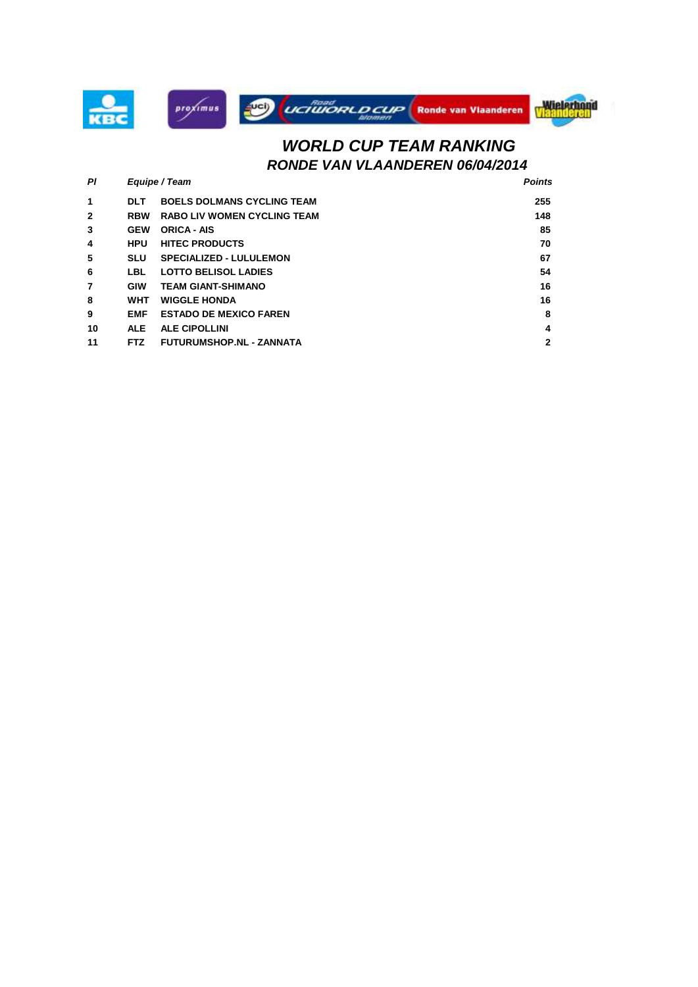![](_page_2_Picture_0.jpeg)

## *WORLD CUP TEAM RANKING RONDE VAN VLAANDEREN 06/04/2014*

| ΡI           |            | Equipe / Team                      |              |  |  |
|--------------|------------|------------------------------------|--------------|--|--|
| 1            | <b>DLT</b> | <b>BOELS DOLMANS CYCLING TEAM</b>  | 255          |  |  |
| $\mathbf{2}$ | <b>RBW</b> | <b>RABO LIV WOMEN CYCLING TEAM</b> | 148          |  |  |
| 3            | <b>GEW</b> | <b>ORICA - AIS</b>                 | 85           |  |  |
| 4            | <b>HPU</b> | <b>HITEC PRODUCTS</b>              | 70           |  |  |
| 5            | <b>SLU</b> | <b>SPECIALIZED - LULULEMON</b>     | 67           |  |  |
| 6            | <b>LBL</b> | <b>LOTTO BELISOL LADIES</b>        | 54           |  |  |
| 7            | GIW        | <b>TEAM GIANT-SHIMANO</b>          | 16           |  |  |
| 8            | <b>WHT</b> | <b>WIGGLE HONDA</b>                | 16           |  |  |
| 9            | <b>EMF</b> | <b>ESTADO DE MEXICO FAREN</b>      | 8            |  |  |
| 10           | <b>ALE</b> | <b>ALE CIPOLLINI</b>               | 4            |  |  |
| 11           | <b>FTZ</b> | <b>FUTURUMSHOP.NL - ZANNATA</b>    | $\mathbf{2}$ |  |  |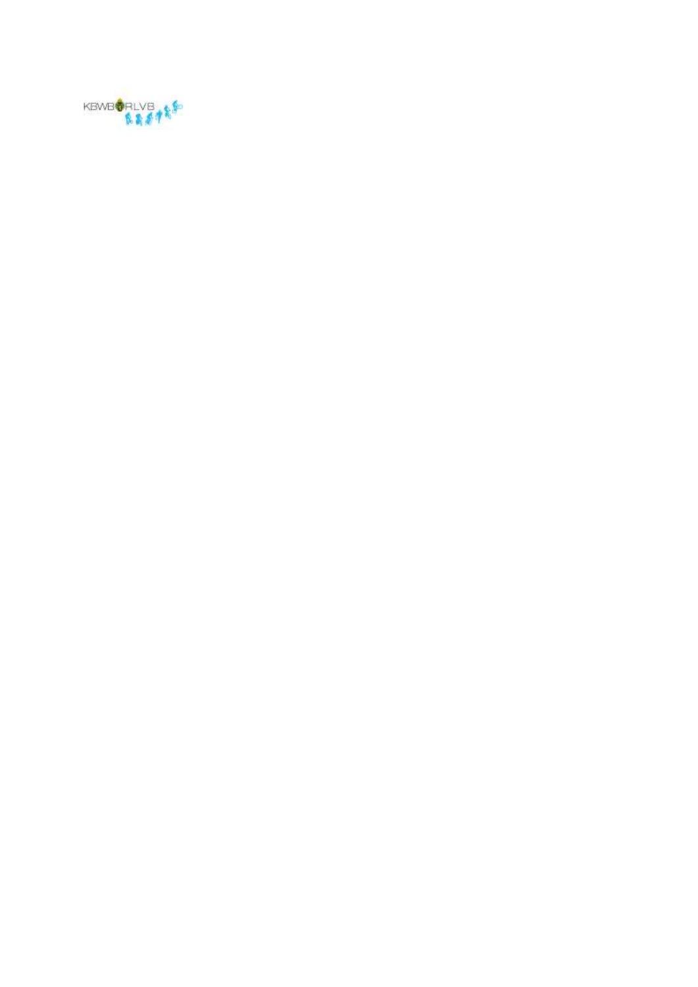![](_page_3_Picture_0.jpeg)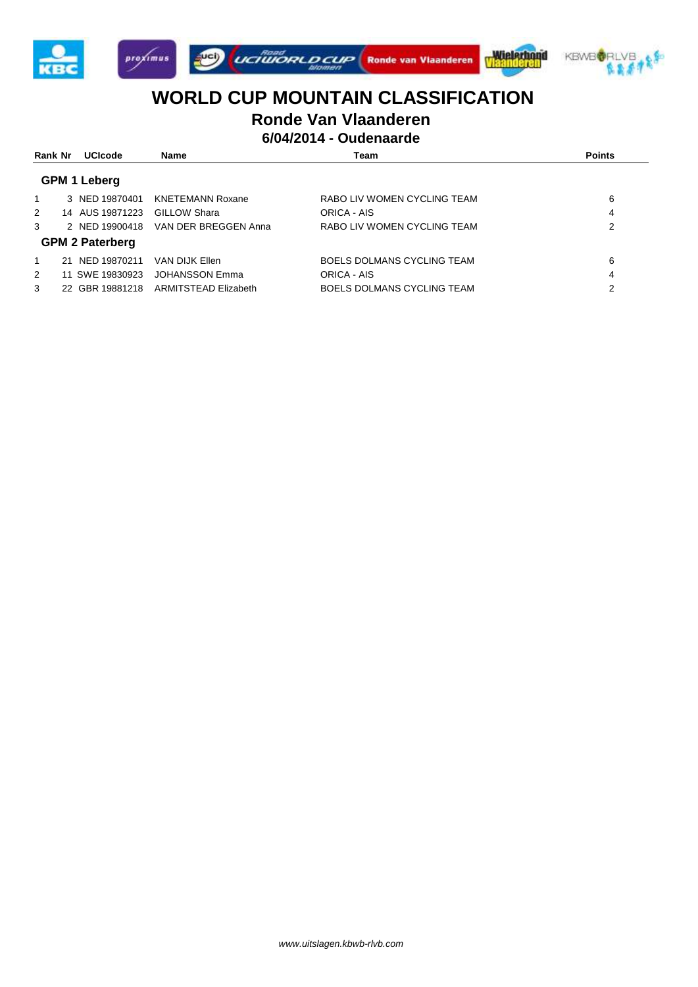![](_page_4_Picture_0.jpeg)

![](_page_4_Picture_1.jpeg)

![](_page_4_Picture_3.jpeg)

Wielerhond

# **WORLD CUP MOUNTAIN CLASSIFICATION**

**Ronde Van Vlaanderen 6/04/2014 - Oudenaarde**

| /04/2014 - Oudenaarde |  |
|-----------------------|--|
|                       |  |

| Rank Nr | <b>UCIcode</b>         | <b>Name</b>             | Team                              | <b>Points</b> |
|---------|------------------------|-------------------------|-----------------------------------|---------------|
|         | GPM 1 Leberg           |                         |                                   |               |
|         | 3 NED 19870401         | <b>KNETEMANN Roxane</b> | RABO LIV WOMEN CYCLING TEAM       | 6             |
| 2       | 14 AUS 19871223        | <b>GILLOW Shara</b>     | ORICA - AIS                       | 4             |
| 3       | 2 NED 19900418         | VAN DER BREGGEN Anna    | RABO LIV WOMEN CYCLING TEAM       | 2             |
|         | <b>GPM 2 Paterberg</b> |                         |                                   |               |
|         | NED 19870211<br>21.    | VAN DIJK Ellen          | <b>BOELS DOLMANS CYCLING TEAM</b> | 6             |
| 2       | 11 SWE 19830923        | JOHANSSON Emma          | ORICA - AIS                       | 4             |
| 3       | 22 GBR 19881218        | ARMITSTEAD Elizabeth    | BOELS DOLMANS CYCLING TEAM        | 2             |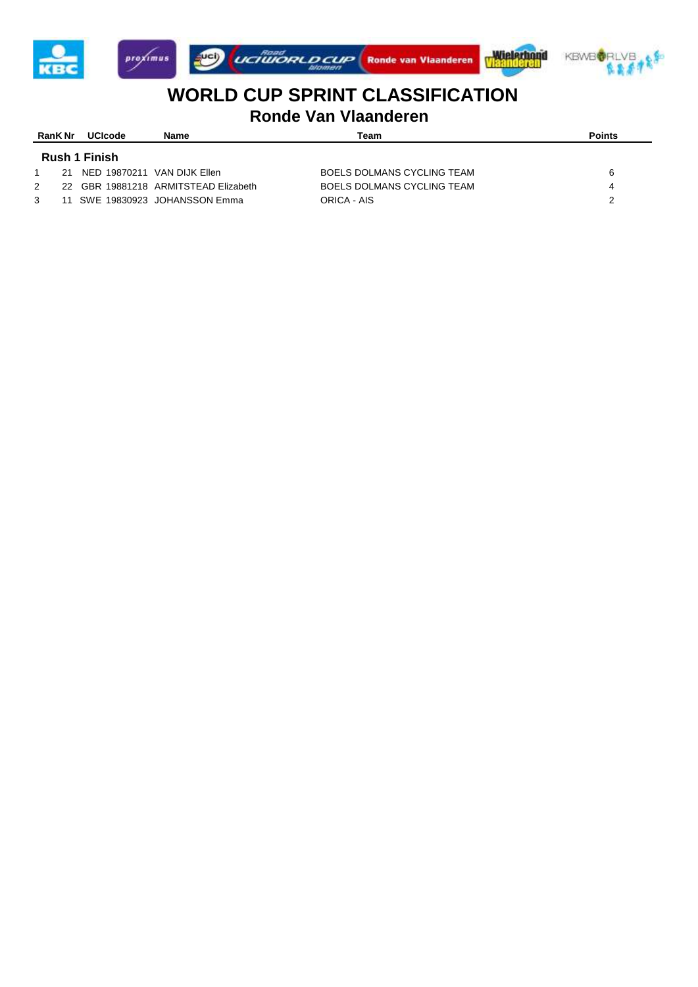![](_page_5_Picture_0.jpeg)

![](_page_5_Picture_1.jpeg)

![](_page_5_Picture_2.jpeg)

## **Ronde Van Vlaanderen WORLD CUP SPRINT CLASSIFICATION**

| <b>RanK Nr</b> | <b>UCIcode</b>       | Name                                 | Team                       | <b>Points</b> |
|----------------|----------------------|--------------------------------------|----------------------------|---------------|
|                | <b>Rush 1 Finish</b> |                                      |                            |               |
| -21            |                      | NED 19870211 VAN DIJK Ellen          | BOELS DOLMANS CYCLING TEAM |               |
|                |                      | 22 GBR 19881218 ARMITSTEAD Elizabeth | BOELS DOLMANS CYCLING TEAM |               |
|                |                      | 11 SWE 19830923 JOHANSSON Emma       | ORICA - AIS                |               |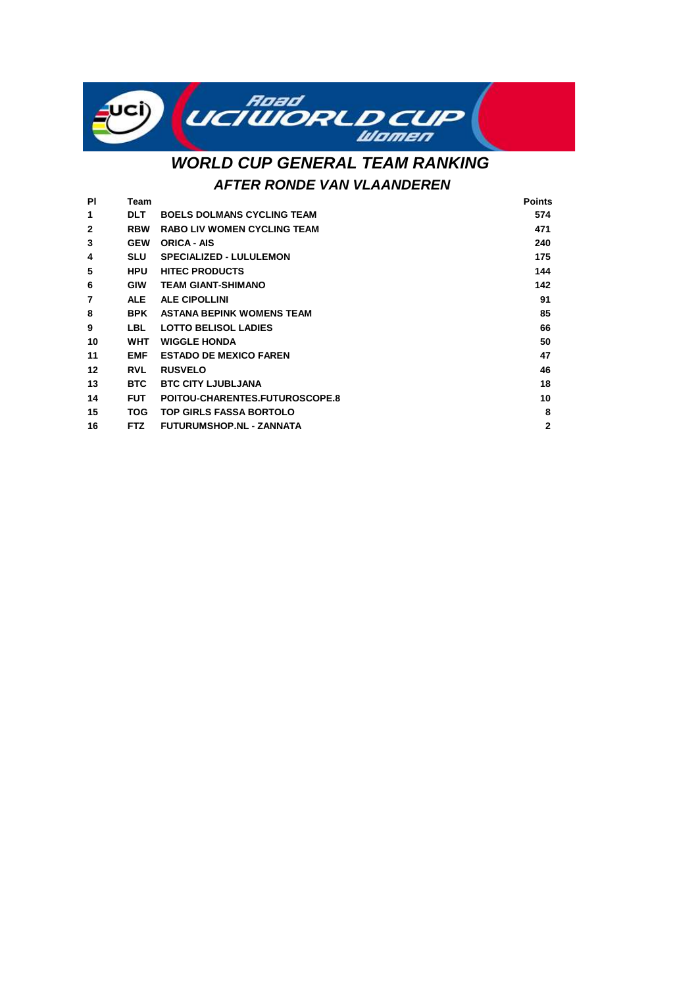![](_page_6_Picture_0.jpeg)

## *WORLD CUP GENERAL TEAM RANKING*

 *AFTER RONDE VAN VLAANDEREN*

| PI           | Team       |                                    | <b>Points</b>  |
|--------------|------------|------------------------------------|----------------|
| 1            | <b>DLT</b> | <b>BOELS DOLMANS CYCLING TEAM</b>  | 574            |
| $\mathbf{2}$ | <b>RBW</b> | <b>RABO LIV WOMEN CYCLING TEAM</b> | 471            |
| 3            | <b>GEW</b> | <b>ORICA - AIS</b>                 | 240            |
| 4            | <b>SLU</b> | <b>SPECIALIZED - LULULEMON</b>     | 175            |
| 5            | <b>HPU</b> | <b>HITEC PRODUCTS</b>              | 144            |
| 6            | <b>GIW</b> | <b>TEAM GIANT-SHIMANO</b>          | 142            |
| 7            | <b>ALE</b> | <b>ALE CIPOLLINI</b>               | 91             |
| 8            | <b>BPK</b> | <b>ASTANA BEPINK WOMENS TEAM</b>   | 85             |
| 9            | <b>LBL</b> | <b>LOTTO BELISOL LADIES</b>        | 66             |
| 10           | <b>WHT</b> | <b>WIGGLE HONDA</b>                | 50             |
| 11           | <b>EMF</b> | <b>ESTADO DE MEXICO FAREN</b>      | 47             |
| $12 \,$      | <b>RVL</b> | <b>RUSVELO</b>                     | 46             |
| 13           | <b>BTC</b> | <b>BTC CITY LJUBLJANA</b>          | 18             |
| 14           | <b>FUT</b> | POITOU-CHARENTES.FUTUROSCOPE.8     | 10             |
| 15           | <b>TOG</b> | <b>TOP GIRLS FASSA BORTOLO</b>     | 8              |
| 16           | <b>FTZ</b> | <b>FUTURUMSHOP.NL - ZANNATA</b>    | $\overline{2}$ |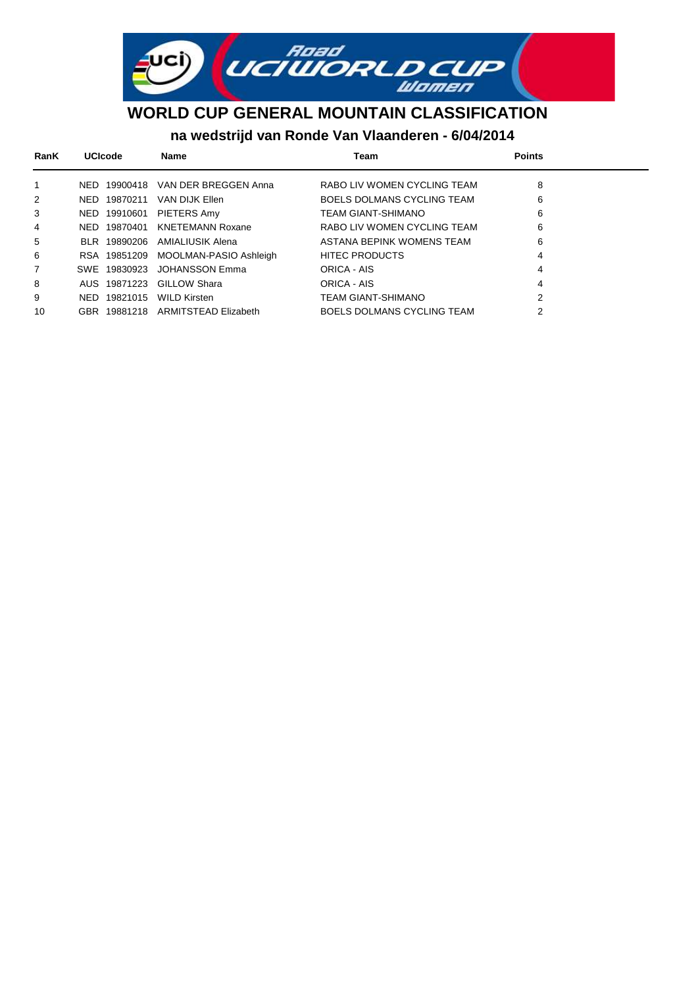![](_page_7_Picture_0.jpeg)

## **WORLD CUP GENERAL MOUNTAIN CLASSIFICATION**

## **na wedstrijd van Ronde Van Vlaanderen - 6/04/2014**

| RanK           | <b>UCIcode</b> | Name                                | Team                              | <b>Points</b> |  |
|----------------|----------------|-------------------------------------|-----------------------------------|---------------|--|
| 1              |                | NED 19900418 VAN DER BREGGEN Anna   | RABO LIV WOMEN CYCLING TEAM       | 8             |  |
| 2              | NED 19870211   | VAN DIJK Ellen                      | BOELS DOLMANS CYCLING TEAM        | 6             |  |
| 3              | NED 19910601   | PIETERS Amy                         | TEAM GIANT-SHIMANO                | 6             |  |
| 4              |                | NED 19870401 KNETEMANN Roxane       | RABO LIV WOMEN CYCLING TEAM       | 6             |  |
| 5              |                | BLR 19890206 AMIALIUSIK Alena       | ASTANA BEPINK WOMENS TEAM         | 6             |  |
| 6              |                | RSA 19851209 MOOLMAN-PASIO Ashleigh | <b>HITEC PRODUCTS</b>             | 4             |  |
| $\overline{7}$ |                | SWE 19830923 JOHANSSON Emma         | ORICA - AIS                       | 4             |  |
| 8              |                | AUS 19871223 GILLOW Shara           | ORICA - AIS                       | 4             |  |
| 9              | NED 19821015   | WILD Kirsten                        | TEAM GIANT-SHIMANO                | 2             |  |
| 10             |                | GBR 19881218 ARMITSTEAD Elizabeth   | <b>BOELS DOLMANS CYCLING TEAM</b> | 2             |  |